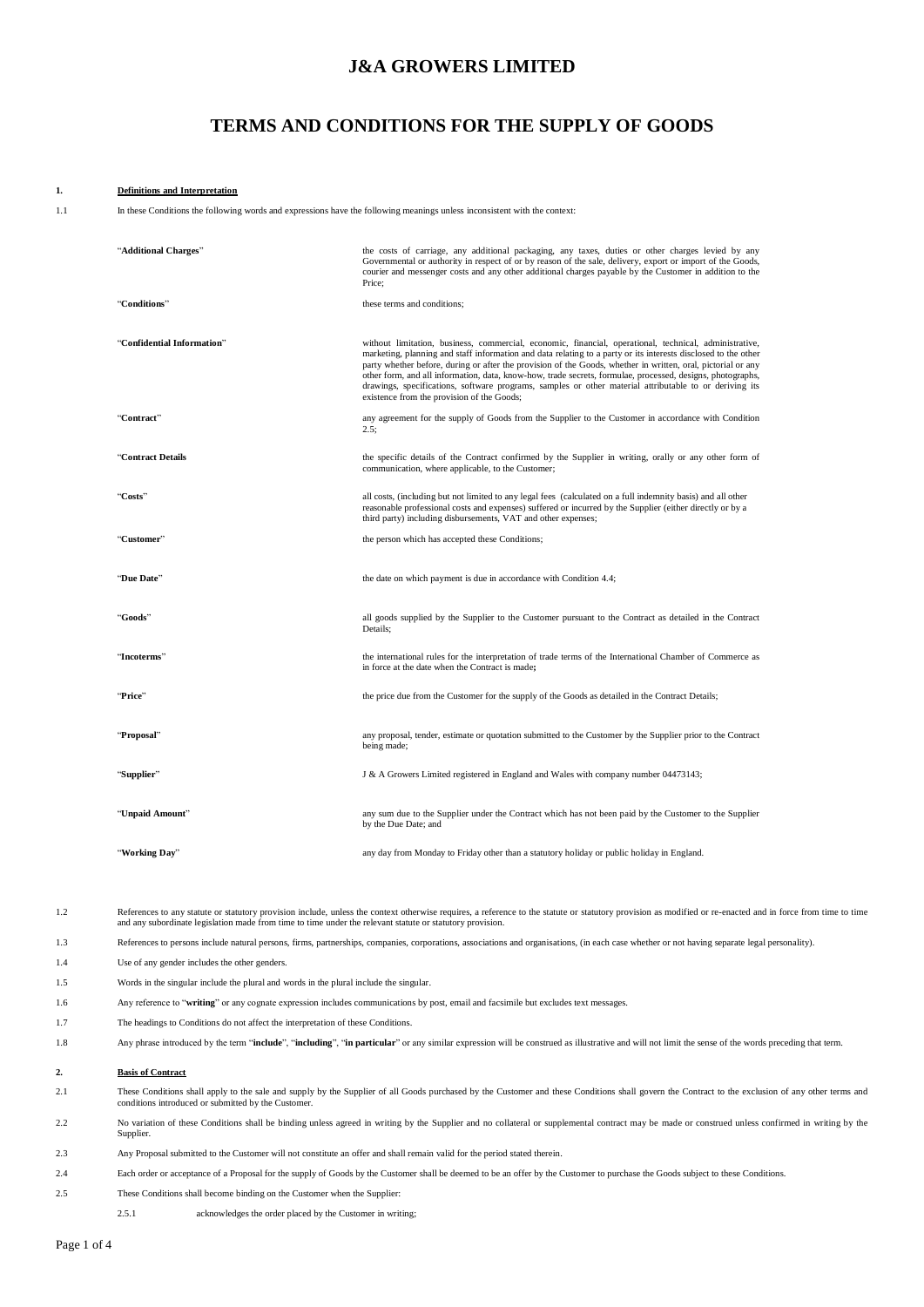# **J&A GROWERS LIMITED**

# **TERMS AND CONDITIONS FOR THE SUPPLY OF GOODS**

#### **1. Definitions and Interpretation**

1.1 In these Conditions the following words and expressions have the following meanings unless inconsistent with the context:

| "Additional Charges"       | the costs of carriage, any additional packaging, any taxes, duties or other charges levied by any<br>Governmental or authority in respect of or by reason of the sale, delivery, export or import of the Goods,<br>courier and messenger costs and any other additional charges payable by the Customer in addition to the<br>Price;                                                                                                                                                                                                                                                                           |
|----------------------------|----------------------------------------------------------------------------------------------------------------------------------------------------------------------------------------------------------------------------------------------------------------------------------------------------------------------------------------------------------------------------------------------------------------------------------------------------------------------------------------------------------------------------------------------------------------------------------------------------------------|
| "Conditions"               | these terms and conditions;                                                                                                                                                                                                                                                                                                                                                                                                                                                                                                                                                                                    |
| "Confidential Information" | without limitation, business, commercial, economic, financial, operational, technical, administrative,<br>marketing, planning and staff information and data relating to a party or its interests disclosed to the other<br>party whether before, during or after the provision of the Goods, whether in written, oral, pictorial or any<br>other form, and all information, data, know-how, trade secrets, formulae, processed, designs, photographs,<br>drawings, specifications, software programs, samples or other material attributable to or deriving its<br>existence from the provision of the Goods; |
| "Contract"                 | any agreement for the supply of Goods from the Supplier to the Customer in accordance with Condition<br>2.5;                                                                                                                                                                                                                                                                                                                                                                                                                                                                                                   |
| "Contract Details          | the specific details of the Contract confirmed by the Supplier in writing, orally or any other form of<br>communication, where applicable, to the Customer;                                                                                                                                                                                                                                                                                                                                                                                                                                                    |
| "Costs"                    | all costs, (including but not limited to any legal fees (calculated on a full indemnity basis) and all other<br>reasonable professional costs and expenses) suffered or incurred by the Supplier (either directly or by a<br>third party) including disbursements, VAT and other expenses;                                                                                                                                                                                                                                                                                                                     |
| "Customer"                 | the person which has accepted these Conditions;                                                                                                                                                                                                                                                                                                                                                                                                                                                                                                                                                                |
| "Due Date"                 | the date on which payment is due in accordance with Condition 4.4;                                                                                                                                                                                                                                                                                                                                                                                                                                                                                                                                             |
| "Goods"                    | all goods supplied by the Supplier to the Customer pursuant to the Contract as detailed in the Contract<br>Details;                                                                                                                                                                                                                                                                                                                                                                                                                                                                                            |
| "Incoterms"                | the international rules for the interpretation of trade terms of the International Chamber of Commerce as<br>in force at the date when the Contract is made;                                                                                                                                                                                                                                                                                                                                                                                                                                                   |
| "Price"                    | the price due from the Customer for the supply of the Goods as detailed in the Contract Details;                                                                                                                                                                                                                                                                                                                                                                                                                                                                                                               |
| "Proposal"                 | any proposal, tender, estimate or quotation submitted to the Customer by the Supplier prior to the Contract<br>being made;                                                                                                                                                                                                                                                                                                                                                                                                                                                                                     |
| "Supplier"                 | J & A Growers Limited registered in England and Wales with company number 04473143;                                                                                                                                                                                                                                                                                                                                                                                                                                                                                                                            |
| "Unpaid Amount"            | any sum due to the Supplier under the Contract which has not been paid by the Customer to the Supplier<br>by the Due Date; and                                                                                                                                                                                                                                                                                                                                                                                                                                                                                 |
| "Working Day"              | any day from Monday to Friday other than a statutory holiday or public holiday in England.                                                                                                                                                                                                                                                                                                                                                                                                                                                                                                                     |

1.2 References to any statute or statutory provision include, unless the context otherwise requires, a reference to the statute or statutory provision as modified or re-enacted and in force from time to time and any subord

1.3 References to persons include natural persons, firms, partnerships, companies, corporations, associations and organisations, (in each case whether or not having separate legal personality).

- 1.4 Use of any gender includes the other genders.
- 1.5 Words in the singular include the plural and words in the plural include the singular.
- 1.6 Any reference to "**writing**" or any cognate expression includes communications by post, email and facsimile but excludes text messages.
- 1.7 The headings to Conditions do not affect the interpretation of these Conditions.
- 1.8 Any phrase introduced by the term "**include**", "**including**", "**in particular**" or any similar expression will be construed as illustrative and will not limit the sense of the words preceding that term.

#### **2. Basis of Contract**

- These Conditions shall apply to the sale and supply by the Supplier of all Goods purchased by the Customer and these Conditions shall govern the Contract to the exclusion of any other terms and conditions introduced or sub
- 2.2 No variation of these Conditions shall be binding unless agreed in writing by the Supplier and no collateral or supplemental contract may be made or construed unless confirmed in writing by the **Supplier**
- 2.3 Any Proposal submitted to the Customer will not constitute an offer and shall remain valid for the period stated therein.
- 2.4 Each order or acceptance of a Proposal for the supply of Goods by the Customer shall be deemed to be an offer by the Customer to purchase the Goods subject to these Conditions.
- <span id="page-0-0"></span>2.5 These Conditions shall become binding on the Customer when the Supplier:
	- 2.5.1 acknowledges the order placed by the Customer in writing;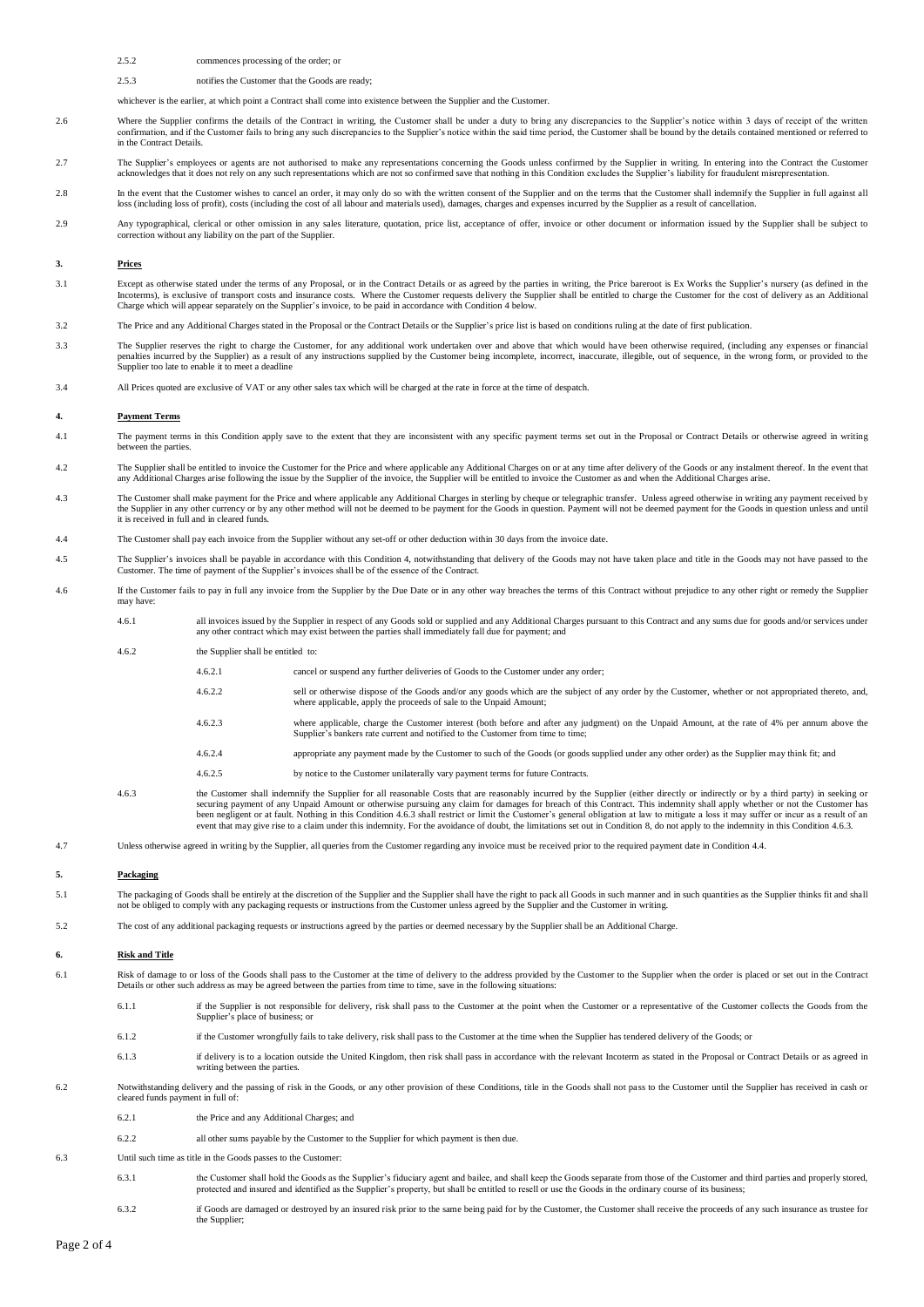## 2.5.2 commences processing of the order; or

2.5.3 notifies the Customer that the Goods are ready;

whichever is the earlier, at which point a Contract shall come into existence between the Supplier and the Customer.

- Where the Supplier confirms the details of the Contract in writing, the Customer shall be under a duty to bring any discrepancies to the Supplier's notice within 3 days of receipt of the written<br>confirmation, and if the Cu in the Contract Details.
- 2.7 The Supplier's employees or agents are not authorised to make any representations concerning the Goods unless confirmed by the Supplier in writing. In entering into the Contract the Customer acknowledges that it does n
- In the event that the Customer wishes to cancel an order, it may only do so with the written consent of the Supplier and on the terms that the Customer shall indemnify the Supplier in full against all<br>loss (including loss
- 2.9 Any typographical, clerical or other omission in any sales literature, quotation, price list, acceptance of offer, invoice or other document or information issued by the Supplier shall be subject to without any liability on the part of the Supplier.

## **3. Prices**

- <span id="page-1-3"></span>3.1 Except as otherwise stated under the terms of any Proposal, or in the Contract Details or as agreed by the parties in writing, the Price bareroot is Ex Works the Supplier's nursery (as defined in the Incoterms), is exclusive of transport costs and insurance costs. Where the Customer requests delivery the Supplier shall be entitled to charge the Customer for the cost of delivery as an Additional Charge which will appear
- 3.2 The Price and any Additional Charges stated in the Proposal or the Contract Details or the Supplier's price list is based on conditions ruling at the date of first publication.
- 3.3 The Supplier reserves the right to charge the Customer, for any additional work undertaken over and above that which would have been otherwise required, (including any expenses or financial penalties incurred by the Supplier) as a result of any instructions supplied by the Customer being incomplete, incorrect, inaccurate, illegible, out of sequence, in the wrong form, or provided to the<br>Supplier too late to e
- 3.4 All Prices quoted are exclusive of VAT or any other sales tax which will be charged at the rate in force at the time of despatch.

#### <span id="page-1-1"></span>**4. Payment Terms**

- 4.1 The payment terms in this Condition apply save to the extent that they are inconsistent with any specific payment terms set out in the Proposal or Contract Details or otherwise agreed in writing between the parties.
- 4.2 The Supplier shall be entitled to invoice the Customer for the Price and where applicable any Additional Charges on or at any time after delivery of the Goods or any instalment thereof. In the event that any Additional Charges arise following the issue by the Supplier of the invoice, the Supplier will be entitled to invoice the Customer as and when the Additional Charges arise.
- 4.3 The Customer shall make payment for the Price and where applicable any Additional Charges in sterling by cheque or telegraphic transfer. Unless agreed otherwise in writing any payment received by the Supplier in any ot
- <span id="page-1-0"></span>4.4 The Customer shall pay each invoice from the Supplier without any set-off or other deduction within 30 days from the invoice date.
- 4.5 The Supplier's invoices shall be payable in accordance with this Condition [4,](#page-1-1) notwithstanding that delivery of the Goods may not have taken place and title in the Goods may not have passed to the ner. The time of payment of the Supplier's invoices shall be of the essence of the Contract.
- 4.6 If the Customer fails to pay in full any invoice from the Supplier by the Due Date or in any other way breaches the terms of this Contract without prejudice to any other right or remedy the Supplier may have
	- 4.6.1 all invoices issued by the Supplier in respect of any Goods sold or supplied and any Additional Charges pursuant to this Contract and any sums due for goods and/or services under<br>any other contract which may exist be

4.6.2 the Supplier shall be entitled to:

- 4.6.2.1 cancel or suspend any further deliveries of Goods to the Customer under any order;
	- 4.6.2.2 sell or otherwise dispose of the Goods and/or any goods which are the subject of any order by the Customer, whether or not appropriated thereto, and, where applicable, apply the proceeds of sale to the Unpaid Amoun
	- 4.6.2.3 where applicable, charge the Customer interest (both before and after any judgment) on the Unpaid Amount, at the rate of 4% per annum above the Supplier's bankers rate current and notified to the Customer from time to time
	- 4.6.2.4 appropriate any payment made by the Customer to such of the Goods (or goods supplied under any other order) as the Supplier may think fit; and
	- 4.6.2.5 by notice to the Customer unilaterally vary payment terms for future Contracts.
- 4.6.3 the Customer shall indemnify the Supplier for all reasonable Costs that are reasonably incurred by the Supplier (either directly or indirectly or by a third party) in seeking or securing payment of any Unpaid Amount or otherwise pursuing any claim for damages for breach of this Contract. This indemnity shall apply whether or not the Customer has<br>been negligent or at fault. Nothing in this Conditio event that may give rise to a claim under this indemnity. For the avoidance of doubt, the limitations set out in Condition [8,](#page-2-0) do not apply to the indemnity in this Condition [4.6.3.](#page-1-2)
- <span id="page-1-2"></span>4.7 Unless otherwise agreed in writing by the Supplier, all queries from the Customer regarding any invoice must be received prior to the required payment date in Conditio[n 4.4.](#page-1-0)

#### **5. Packaging**

- 5.1 The packaging of Goods shall be entirely at the discretion of the Supplier and the Supplier shall have the right to pack all Goods in such manner and in such quantities as the Supplier thinks fit and shall not be obliged to comply with any packaging requests or instructions from the Customer unless agreed by the Supplier and the Customer in writing.
- 5.2 The cost of any additional packaging requests or instructions agreed by the parties or deemed necessary by the Supplier shall be an Additional Charge.

#### **6. Risk and Title**

- 6.1 Risk of damage to or loss of the Goods shall pass to the Customer at the time of delivery to the address provided by the Customer to the Supplier when the order is placed or set out in the Contract Details or other such address as may be agreed between the parties from time to time, save in the following situations:
	- 6.1.1 if the Supplier is not responsible for delivery, risk shall pass to the Customer at the point when the Customer or a representative of the Customer collects the Goods from the Supplier's place of business; or
	- 6.1.2 if the Customer wrongfully fails to take delivery, risk shall pass to the Customer at the time when the Supplier has tendered delivery of the Goods; or
	- 6.1.3 if delivery is to a location outside the United Kingdom, then risk shall pass in accordance with the relevant Incoterm as stated in the Proposal or Contract Details or as agreed in writing between the parties
- 6.2 Notwithstanding delivery and the passing of risk in the Goods, or any other provision of these Conditions, title in the Goods shall not pass to the Customer until the Supplier has received in cash or cleared funds paym
	- 6.2.1 the Price and any Additional Charges; and
	- 6.2.2 all other sums payable by the Customer to the Supplier for which payment is then due.
- 6.3 Until such time as title in the Goods passes to the Customer:
	- the Customer shall hold the Goods as the Supplier's fiduciary agent and bailee, and shall keep the Goods separate from those of the Customer and third parties and properly stored, protected and insured and identified as th
	- 6.3.2 if Goods are damaged or destroyed by an insured risk prior to the same being paid for by the Customer, the Customer shall receive the proceeds of any such insurance as trustee for the Supplier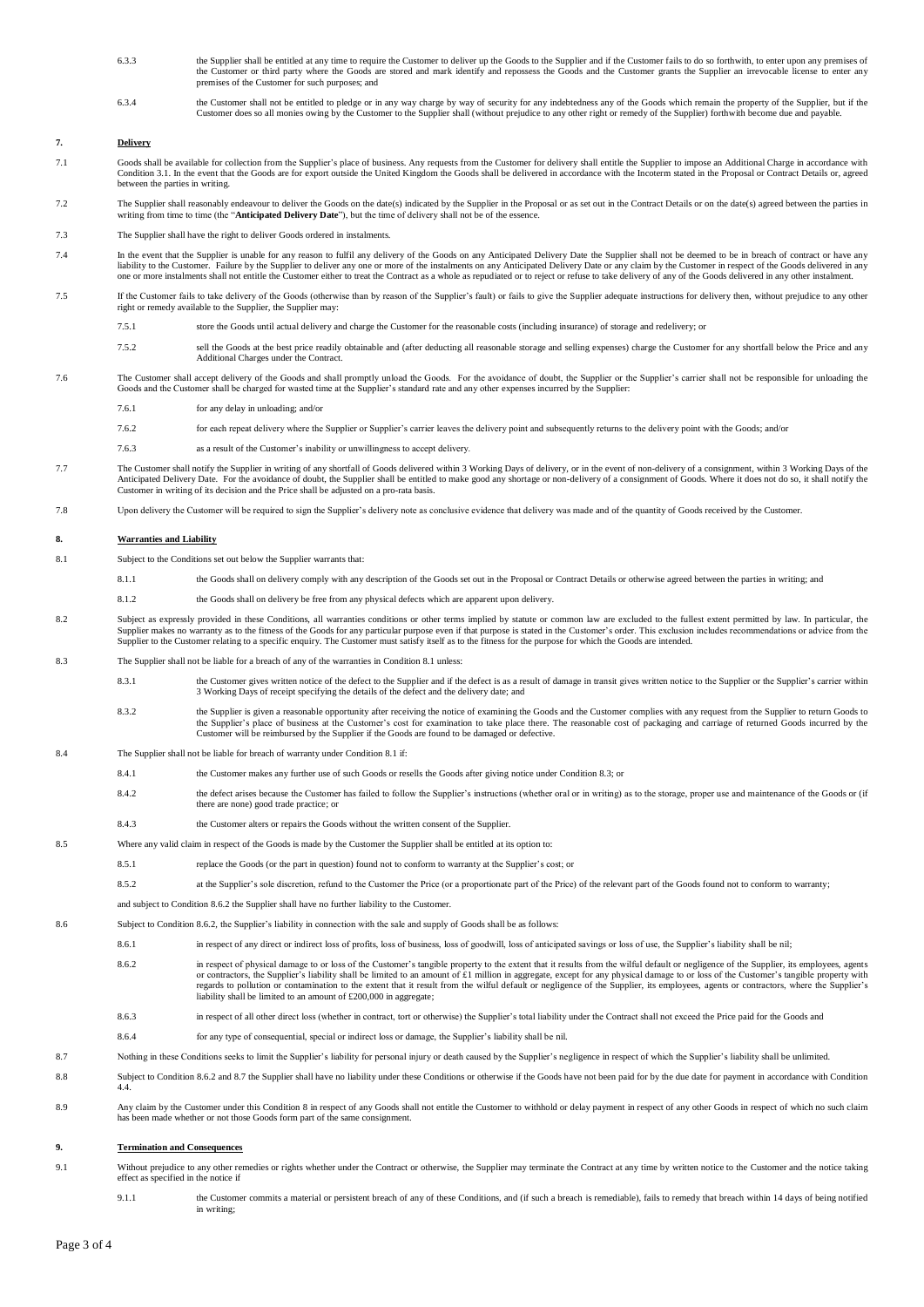- 6.3.3 the Supplier shall be entitled at any time to require the Customer to deliver up the Goods to the Supplier and if the Customer fails to do so forthwith, to enter upon any premises of the Customer or third party where the Goods are stored and mark identify and repossess the Goods and the Customer grants the Supplier an irrevocable license to enter any premises of the Customer for such purposes; and
- the Customer shall not be entitled to pledge or in any way charge by way of security for any indebtedness any of the Goods which remain the property of the Supplier, but if the Customer does so all monies owing by the Cust

## **7. Delivery**

- 7.1 Goods shall be available for collection from the Supplier's place of business. Any requests from the Customer for delivery shall entitle the Supplier to impose an Additional Charge in accordance with Conditio[n 3.1.](#page-1-3) In the event that the Goods are for export outside the United Kingdom the Goods shall be delivered in accordance with the Incoterm stated in the Proposal or Contract Details or, agreed between the parties in writing.
- 7.2 The Supplier shall reasonably endeavour to deliver the Goods on the date(s) indicated by the Supplier in the Proposal or as set out in the Contract Details or on the date(s) agreed between the parties in writing from t
- 7.3 The Supplier shall have the right to deliver Goods ordered in instalments.
- In the event that the Supplier is unable for any reason to fulfil any delivery of the Goods on any Anticipated Delivery Date the Supplier shall not be deemed to be in breach of contract or have any heards of contract or ha
- 7.5 If the Customer fails to take delivery of the Goods (otherwise than by reason of the Supplier's fault) or fails to give the Supplier adequate instructions for delivery then, without prejudice to any other right or remedy available to the Supplier, the Supplier may:
	- 7.5.1 store the Goods until actual delivery and charge the Customer for the reasonable costs (including insurance) of storage and redelivery; or
	- 7.5.2 sell the Goods at the best price readily obtainable and (after deducting all reasonable storage and selling expenses) charge the Customer for any shortfall below the Price and any Additional Charges under the Contract.
- 7.6 The Customer shall accept delivery of the Goods and shall promptly unload the Goods. For the avoidance of doubt, the Supplier or the Supplier's carrier shall not be responsible for unloading the Goods and the Customer shall be charged for wasted time at the Supplier's standard rate and any other expenses incurred by the Supplier:
	- 7.6.1 for any delay in unloading; and/or
	- 7.6.2 for each repeat delivery where the Supplier or Supplier's carrier leaves the delivery point and subsequently returns to the delivery point with the Goods; and/or
	- 7.6.3 as a result of the Customer's inability or unwillingness to accept delivery.
- 7.7 The Customer shall notify the Supplier in writing of any shortfall of Goods delivered within 3 Working Days of delivery, or in the event of non-delivery of a consignment, within 3 Working Days of the Anticipated Delivery Date. For the avoidance of doubt, the Supplier shall be entitled to make good any shortage or non-delivery of a consignment of Goods. Where it does not do so, it shall notify the ner in writing of its decision and the Price shall be adjusted on a pro-rata basis.
- 7.8 Upon delivery the Customer will be required to sign the Supplier's delivery note as conclusive evidence that delivery was made and of the quantity of Goods received by the Customer.

# <span id="page-2-0"></span>**8. Warranties and Liability**

- <span id="page-2-1"></span>8.1 Subject to the Conditions set out below the Supplier warrants that:
	- 8.1.1 the Goods shall on delivery comply with any description of the Goods set out in the Proposal or Contract Details or otherwise agreed between the parties in writing; and
	- 8.1.2 the Goods shall on delivery be free from any physical defects which are apparent upon delivery.
- 8.2 Subject as expressly provided in these Conditions, all warranties conditions or other terms implied by statute or common law are excluded to the fullest extent permitted by law. In particular, the Supplier makes no warranty as to the fitness of the Goods for any particular purpose even if that purpose is stated in the Customer's order. This exclusion includes recommendations or advice from the<br>Supplier to the Custom
- <span id="page-2-2"></span>8.3 The Supplier shall not be liable for a breach of any of the warranties in Condition [8.1](#page-2-1) unless:
	- 8.3.1 the Customer gives written notice of the defect to the Supplier and if the defect is as a result of damage in transit gives written notice to the Supplier's carrier within 3 Working Days of receipt specifying the details of the defect and the delivery date; and
	- 8.3.2 the Supplier is given a reasonable opportunity after receiving the notice of examining the Goods and the Customer complies with any request from the Supplier to return Goods to the Supplier's place of business at the Customer's cost for examination to take place there. The reasonable cost of packaging and carriage of returned Goods incurred by the<br>Customer will be reimbursed by the Supplier if th
- 8.4 The Supplier shall not be liable for breach of warranty under Conditio[n 8.1](#page-2-1) if:
	- 8.4.1 the Customer makes any further use of such Goods or resells the Goods after giving notice under Conditio[n 8.3;](#page-2-2) or
		- 8.4.2 the defect arises because the Customer has failed to follow the Supplier's instructions (whether oral or in writing) as to the storage, proper use and maintenance of the Goods or (if there are none) good trade practice; or
	- 8.4.3 the Customer alters or repairs the Goods without the written consent of the Supplier.
- 8.5 Where any valid claim in respect of the Goods is made by the Customer the Supplier shall be entitled at its option to:
	- 8.5.1 replace the Goods (or the part in question) found not to conform to warranty at the Supplier's cost; or
		- 8.5.2 at the Supplier's sole discretion, refund to the Customer the Price (or a proportionate part of the Price) of the relevant part of the Goods found not to conform to warranty;

and subject to Conditio[n 8.6.2](#page-2-3) the Supplier shall have no further liability to the Customer.

- <span id="page-2-3"></span>8.6 Subject to Condition [8.6.2,](#page-2-3) the Supplier's liability in connection with the sale and supply of Goods shall be as follows:
	- 8.6.1 in respect of any direct or indirect loss of profits, loss of business, loss of goodwill, loss of anticipated savings or loss of use, the Supplier's liability shall be nil;
		- 8.6.2 in respect of physical damage to or loss of the Customer's tangible property to the extent that it results from the wilful default or negligence of the Supplier, its employees, agents or contractors, the Supplier's liability shall be limited to an amount of £1 million in aggregate, except for any physical damage to or loss of the Customer's tangible property with regards to pollution or contamination to the extent that it result from the wilful default or negligence of the Supplier, its employees, agents or contractors, where the Supplier's liability shall be limited to an amount of £200,000 in aggregate;
		- 8.6.3 in respect of all other direct loss (whether in contract, tort or otherwise) the Supplier's total liability under the Contract shall not exceed the Price paid for the Goods and
	- 8.6.4 for any type of consequential, special or indirect loss or damage, the Supplier's liability shall be nil.
- <span id="page-2-4"></span>8.7 Nothing in these Conditions seeks to limit the Supplier's liability for personal injury or death caused by the Supplier's negligence in respect of which the Supplier's liability shall be unlimited.
- 8.8 Subject to Conditio[n 8.6.2](#page-2-3) an[d 8.7](#page-2-4) the Supplier shall have no liability under these Conditions or otherwise if the Goods have not been paid for by the due date for payment in accordance with Condition [4.4.](#page-1-0)
- 8.9 Any claim by the Customer under this Conditio[n 8](#page-2-0) in respect of any Goods shall not entitle the Customer to withhold or delay payment in respect of any other Goods in respect of which no such claim has been made whether or not those Goods form part of the same consignment.

#### **9. Termination and Consequences**

- <span id="page-2-5"></span>9.1 Without prejudice to any other remedies or rights whether under the Contract or otherwise, the Supplier may terminate the Contract at any time by written notice to the Customer and the notice taking effect as specified in the notice if
	- 9.1.1 the Customer commits a material or persistent breach of any of these Conditions, and (if such a breach is remediable), fails to remedy that breach within 14 days of being notified in writing;